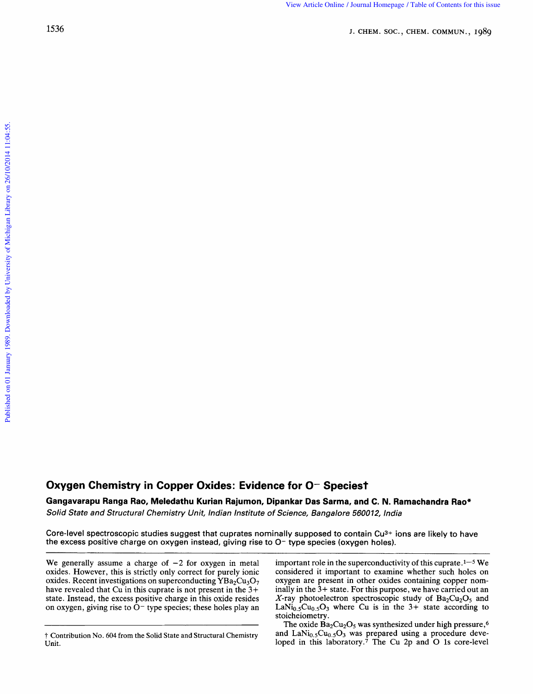## **Oxygen Chemistry in Copper Oxides: Evidence for 0- Speciest**

Gangavarapu Ranga Rao, Meledathu Kurian Rajumon, Dipankar Das Sarma, and C. N. I **Ramachandra Rao\*<br>***Ra***machandra Rao\*<br>***iia* 

Solid State and Structural Chemistry Unit, Indian Institute of Science, Bangalore 560012, India

Core-level spectroscopic studies suggest that cuprates nominally supposed to contain  $Cu<sup>3+</sup>$  ions are likely to have the excess positive charge on oxygen instead, giving rise to O- type species (oxygen holes).

We generally assume a charge of  $-2$  for oxygen in metal oxides. However, this is strictly only correct for purely ionic oxides. Recent investigations on superconducting  $YBa<sub>2</sub>Cu<sub>3</sub>O<sub>7</sub>$ have revealed that Cu in this cuprate is not present in the **3+**  state. Instead, the excess positive charge in this oxide resides on oxygen, giving rise to  $O^-$  type species; these holes play an important role in the superconductivity of this cuprate. $1-5$  We considered it important to examine whether such holes on oxygen are present in other oxides containing copper nominally in the **3+** state. For this purpose, we have carried out an X-ray photoelectron spectroscopic study of  $Ba<sub>2</sub>Cu<sub>2</sub>O<sub>5</sub>$  and LaNi<sub>0.5</sub>Cu<sub>0.5</sub>O<sub>3</sub> where Cu is in the  $3+$  state according to stoicheiometry.

The oxide  $Ba_2Cu_2O_5$  was synthesized under high pressure,<sup>6</sup> and  $\text{LaNi}_{0.5}\text{Cu}_{0.5}\text{O}_3$  was prepared using a procedure developed in this laboratory.<sup>7</sup> The Cu 2p and O 1s core-level

t Contribution No. **604** from the Solid State and Structural Chemistry Unit.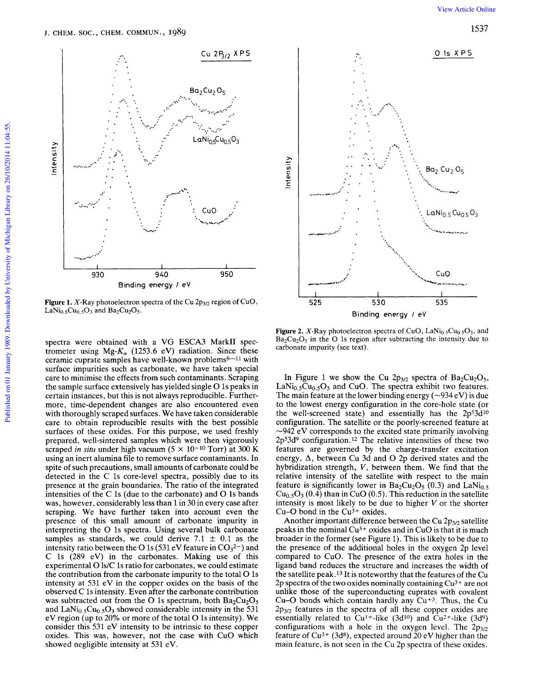

**Figure 1.** X-Ray photoelectron spectra of the Cu  $2p_{3/2}$  region of CuO, LaNi<sub>0.5</sub>Cu<sub>0.5</sub>O<sub>3</sub> and Ba<sub>2</sub>Cu<sub>2</sub>O<sub>5</sub>.

spectra were obtained with a VG ESCA3 MarkII spectrometer using Mg- $K_{\alpha}$  (1253.6 eV) radiation. Since these ceramic cuprate samples have well-known problems8-11 with surface impurities such as carbonate, we have taken special care to minimise the effects from such contaminants. Scraping the sample surface extensively has yielded single O 1s peaks in certain instances, but this is not always reproducible. Furthermore, time-dependent changes are also encountered even with thoroughly scraped surfaces. We have taken considerable care to obtain reproducible results with the best possible surfaces of these oxides. For this purpose, we used freshly prepared, well-sintered samples which were then vigorously scraped in situ under high vacuum ( $5 \times 10^{-10}$  Torr) at 300 K using an inert alumina file to remove surface contaminants. In spite of such precautions, small amounts of carbonate could be detected in the C 1s core-level spectra, possibly due to its presence at the grain boundaries. The ratio of the integrated intensities of the C 1s (due to the carbonate) and O 1s bands was, however, considerably less than 1 in 30 in every case after scraping. We have further taken into account even the presence of this small amount of carbonate impurity in interpreting the O 1s spectra. Using several bulk carbonate samples as standards, we could derive 7.1  $\pm$  0.1 as the intensity ratio between the O 1s (531 eV feature in  $CO_3^{2-}$ ) and C 1s  $(289 \t{eV})$  in the carbonates. Making use of this experimental O ls/C 1s ratio for carbonates, we could estimate the contribution from the carbonate impurity to the total O 1s intensity at 531 eV in the copper oxides on the basis of the observed C 1s intensity. Even after the carbonate contribution was subtracted out from the O 1s spectrum, both  $Ba<sub>2</sub>Cu<sub>2</sub>O<sub>5</sub>$ and LaNi<sub>0.5</sub>Cu<sub>0.5</sub>O<sub>3</sub> showed considerable intensity in the 531 eV region (up to 20% or more of the total O 1s intensity). We consider this 531 eV intensity to be intrinsic to these copper oxides. This was, however, not the case with CuO which showed negligible intensity at 531 eV.



**Figure 2.** X-Ray photoelectron spectra of CuO,  $\text{LaNi}_{0.5}\text{Cu}_{0.5}\text{O}_3$ , and  $Ba<sub>2</sub>Cu<sub>2</sub>O<sub>5</sub>$  in the O 1s region after subtracting the intensity due to carbonate impurity (see text).

In Figure 1 we show the Cu  $2p_{3/2}$  spectra of  $Ba_2Cu_2O_5$ , LaNi<sub>0</sub>  $_5Cu_0$   $_5O_3$  and CuO. The spectra exhibit two features. The main feature at the lower binding energy ( $\sim$ 934 eV) is due to the lowest energy configuration in the core-hole state (or the well-screened state) and essentially has the 2p<sup>5</sup>3d<sup>10</sup> configuration. The satellite or the poorly-screened feature at  $\sim$ 942 eV corresponds to the excited state primarily involving 2p<sup>53d9</sup> configuration.<sup>12</sup> The relative intensities of these two features are governed by the charge-transfer excitation energy,  $\Delta$ , between Cu 3d and O 2p derived states and the hybridization strength, V, between them. We find that the relative intensity of the satellite with respect to the main feature is significantly lower in  $Ba_2Cu_2O_5$  (0.3) and LaNi<sub>0.5</sub>  $Cu<sub>0.5</sub>O<sub>3</sub>$  (0.4) than in CuO (0.5). This reduction in the satellite intensity is most likely to be due to higher  $V$  or the shorter Cu-O bond in the  $Cu<sup>3+</sup>$  oxides.

Another important difference between the Cu 2p<sub>3/2</sub> satellite peaks in the nominal  $Cu^{3+}$  oxides and in  $CuO$  is that it is much broader in the former (see Figure 1). This is likely to be due to the presence of the additional holes in the oxygen 2p level compared to CuO. The presence of the extra holes in the ligand band reduces the structure and increases the width of the satellite peak.<sup>13</sup> It is noteworthy that the features of the Cu 2p spectra of the two oxides nominally containing  $Cu^{3+}$  are not unlike those of the superconducting cuprates with covalent Cu-O bonds which contain hardly any Cu<sup>+3</sup>. Thus, the Cu  $2p_{3/2}$  features in the spectra of all these copper oxides are essentially related to  $Cu^{1+}$ -like (3d<sup>10</sup>) and  $Cu^{2+}$ -like (3d<sup>9</sup>) configurations with a hole in the oxygen level. The  $2p_{3/2}$ feature of  $Cu^{3+}$  (3d<sup>8</sup>), expected around 20 eV higher than the main feature, is not seen in the Cu 2p spectra of these oxides.